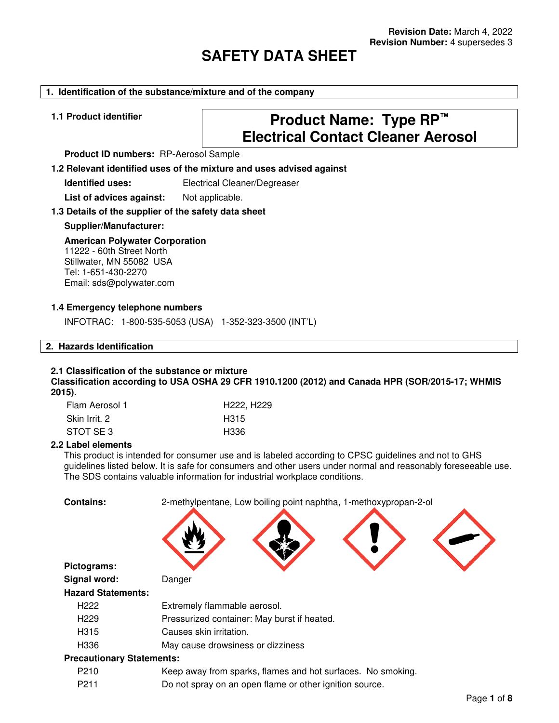# **SAFETY DATA SHEET**

#### **1. Identification of the substance/mixture and of the company**

# **1.1 Product identifier Product Name: Type RP™ Electrical Contact Cleaner Aerosol**

**Product ID numbers:** RP-Aerosol Sample

**1.2 Relevant identified uses of the mixture and uses advised against**

**Identified uses:** Electrical Cleaner/Degreaser

List of advices against: Not applicable.

#### **1.3 Details of the supplier of the safety data sheet**

#### **Supplier/Manufacturer:**

#### **American Polywater Corporation**

11222 - 60th Street North Stillwater, MN 55082 USA Tel: 1-651-430-2270 Email: sds@polywater.com

#### **1.4 Emergency telephone numbers**

INFOTRAC: 1-800-535-5053 (USA) 1-352-323-3500 (INT'L)

#### **2. Hazards Identification**

#### **2.1 Classification of the substance or mixture**

**Classification according to USA OSHA 29 CFR 1910.1200 (2012) and Canada HPR (SOR/2015-17; WHMIS 2015).**

| Flam Aerosol 1 | H222, H229 |
|----------------|------------|
| Skin Irrit. 2  | H315       |
| STOT SE 3      | H336       |

#### **2.2 Label elements**

This product is intended for consumer use and is labeled according to CPSC guidelines and not to GHS guidelines listed below. It is safe for consumers and other users under normal and reasonably foreseeable use. The SDS contains valuable information for industrial workplace conditions.

| <b>Contains:</b>                 | 2-methylpentane, Low boiling point naphtha, 1-methoxypropan-2-ol |
|----------------------------------|------------------------------------------------------------------|
|                                  |                                                                  |
| Pictograms:                      |                                                                  |
| Signal word:                     | Danger                                                           |
| <b>Hazard Statements:</b>        |                                                                  |
| H <sub>222</sub>                 | Extremely flammable aerosol.                                     |
| H <sub>229</sub>                 | Pressurized container: May burst if heated.                      |
| H315                             | Causes skin irritation.                                          |
| H336                             | May cause drowsiness or dizziness                                |
| <b>Precautionary Statements:</b> |                                                                  |
| P <sub>210</sub>                 | Keep away from sparks, flames and hot surfaces. No smoking.      |
| P <sub>2</sub> 11                | Do not spray on an open flame or other ignition source.          |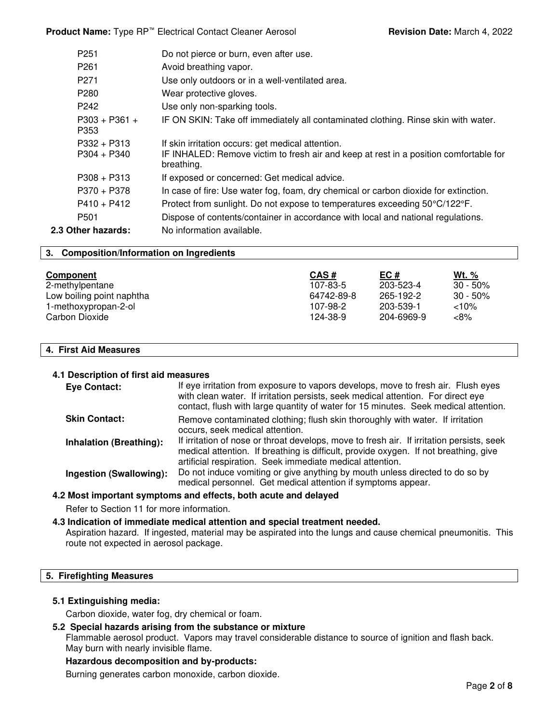**Product Name:** Type RP<sup>™</sup> Electrical Contact Cleaner Aerosol **Revision Date:** March 4, 2022

| P <sub>261</sub><br>Avoid breathing vapor.<br>Use only outdoors or in a well-ventilated area.<br>P <sub>271</sub>                                                                          |  |
|--------------------------------------------------------------------------------------------------------------------------------------------------------------------------------------------|--|
|                                                                                                                                                                                            |  |
|                                                                                                                                                                                            |  |
| P <sub>280</sub><br>Wear protective gloves.                                                                                                                                                |  |
| P <sub>242</sub><br>Use only non-sparking tools.                                                                                                                                           |  |
| $P303 + P361 +$<br>IF ON SKIN: Take off immediately all contaminated clothing. Rinse skin with water.<br>P353                                                                              |  |
| $P332 + P313$<br>If skin irritation occurs: get medical attention.<br>IF INHALED: Remove victim to fresh air and keep at rest in a position comfortable for<br>$P304 + P340$<br>breathing. |  |
| $P308 + P313$<br>If exposed or concerned: Get medical advice.                                                                                                                              |  |
| $P370 + P378$<br>In case of fire: Use water fog, foam, dry chemical or carbon dioxide for extinction.                                                                                      |  |
| $P410 + P412$<br>Protect from sunlight. Do not expose to temperatures exceeding 50°C/122°F.                                                                                                |  |
| P <sub>501</sub><br>Dispose of contents/container in accordance with local and national regulations.                                                                                       |  |
| 2.3 Other hazards:<br>No information available.                                                                                                                                            |  |

#### **3. Composition/Information on Ingredients**

| Component                 | CAS#       | EC#        | Wt. $%$     |
|---------------------------|------------|------------|-------------|
| 2-methylpentane           | 107-83-5   | 203-523-4  | $30 - 50\%$ |
| Low boiling point naphtha | 64742-89-8 | 265-192-2  | $30 - 50\%$ |
| 1-methoxypropan-2-ol      | 107-98-2   | 203-539-1  | $<10\%$     |
| Carbon Dioxide            | 124-38-9   | 204-6969-9 | <8%         |

#### **4. First Aid Measures**

#### **4.1 Description of first aid measures**

| <b>Eye Contact:</b>            | If eye irritation from exposure to vapors develops, move to fresh air. Flush eyes<br>with clean water. If irritation persists, seek medical attention. For direct eye<br>contact, flush with large quantity of water for 15 minutes. Seek medical attention. |
|--------------------------------|--------------------------------------------------------------------------------------------------------------------------------------------------------------------------------------------------------------------------------------------------------------|
| <b>Skin Contact:</b>           | Remove contaminated clothing; flush skin thoroughly with water. If irritation<br>occurs, seek medical attention.                                                                                                                                             |
| <b>Inhalation (Breathing):</b> | If irritation of nose or throat develops, move to fresh air. If irritation persists, seek<br>medical attention. If breathing is difficult, provide oxygen. If not breathing, give<br>artificial respiration. Seek immediate medical attention.               |
| <b>Ingestion (Swallowing):</b> | Do not induce vomiting or give anything by mouth unless directed to do so by<br>medical personnel. Get medical attention if symptoms appear.                                                                                                                 |

#### **4.2 Most important symptoms and effects, both acute and delayed**

Refer to Section 11 for more information.

#### **4.3 Indication of immediate medical attention and special treatment needed.**

Aspiration hazard. If ingested, material may be aspirated into the lungs and cause chemical pneumonitis. This route not expected in aerosol package.

#### **5. Firefighting Measures**

#### **5.1 Extinguishing media:**

Carbon dioxide, water fog, dry chemical or foam.

### **5.2 Special hazards arising from the substance or mixture**

Flammable aerosol product. Vapors may travel considerable distance to source of ignition and flash back. May burn with nearly invisible flame.

#### **Hazardous decomposition and by-products:**

Burning generates carbon monoxide, carbon dioxide.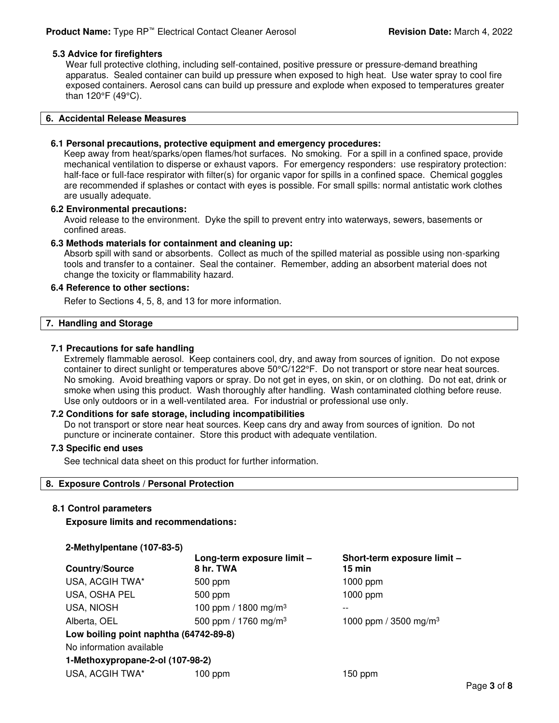#### **5.3 Advice for firefighters**

Wear full protective clothing, including self-contained, positive pressure or pressure-demand breathing apparatus. Sealed container can build up pressure when exposed to high heat. Use water spray to cool fire exposed containers. Aerosol cans can build up pressure and explode when exposed to temperatures greater than 120°F (49°C).

#### **6. Accidental Release Measures**

#### **6.1 Personal precautions, protective equipment and emergency procedures:**

Keep away from heat/sparks/open flames/hot surfaces. No smoking. For a spill in a confined space, provide mechanical ventilation to disperse or exhaust vapors. For emergency responders: use respiratory protection: half-face or full-face respirator with filter(s) for organic vapor for spills in a confined space. Chemical goggles are recommended if splashes or contact with eyes is possible. For small spills: normal antistatic work clothes are usually adequate.

#### **6.2 Environmental precautions:**

Avoid release to the environment. Dyke the spill to prevent entry into waterways, sewers, basements or confined areas.

#### **6.3 Methods materials for containment and cleaning up:**

Absorb spill with sand or absorbents. Collect as much of the spilled material as possible using non-sparking tools and transfer to a container. Seal the container. Remember, adding an absorbent material does not change the toxicity or flammability hazard.

#### **6.4 Reference to other sections:**

Refer to Sections 4, 5, 8, and 13 for more information.

#### **7. Handling and Storage**

#### **7.1 Precautions for safe handling**

Extremely flammable aerosol. Keep containers cool, dry, and away from sources of ignition. Do not expose container to direct sunlight or temperatures above 50°C/122°F. Do not transport or store near heat sources. No smoking. Avoid breathing vapors or spray. Do not get in eyes, on skin, or on clothing. Do not eat, drink or smoke when using this product. Wash thoroughly after handling. Wash contaminated clothing before reuse. Use only outdoors or in a well-ventilated area. For industrial or professional use only.

#### **7.2 Conditions for safe storage, including incompatibilities**

Do not transport or store near heat sources. Keep cans dry and away from sources of ignition. Do not puncture or incinerate container. Store this product with adequate ventilation.

#### **7.3 Specific end uses**

See technical data sheet on this product for further information.

#### **8. Exposure Controls / Personal Protection**

#### **8.1 Control parameters**

**Exposure limits and recommendations:** 

| 2-Methylpentane (107-83-5)             |                                         |                                       |
|----------------------------------------|-----------------------------------------|---------------------------------------|
| <b>Country/Source</b>                  | Long-term exposure limit -<br>8 hr. TWA | Short-term exposure limit -<br>15 min |
| USA, ACGIH TWA*                        | 500 ppm                                 | $1000$ ppm                            |
| USA, OSHA PEL                          | 500 ppm                                 | $1000$ ppm                            |
| <b>USA, NIOSH</b>                      | 100 ppm / 1800 mg/m <sup>3</sup>        | --                                    |
| Alberta, OEL                           | 500 ppm / 1760 mg/m <sup>3</sup>        | 1000 ppm / 3500 mg/m <sup>3</sup>     |
| Low boiling point naphtha (64742-89-8) |                                         |                                       |
| No information available               |                                         |                                       |
| 1-Methoxypropane-2-ol (107-98-2)       |                                         |                                       |
| USA, ACGIH TWA*                        | 100 ppm                                 | 150 ppm                               |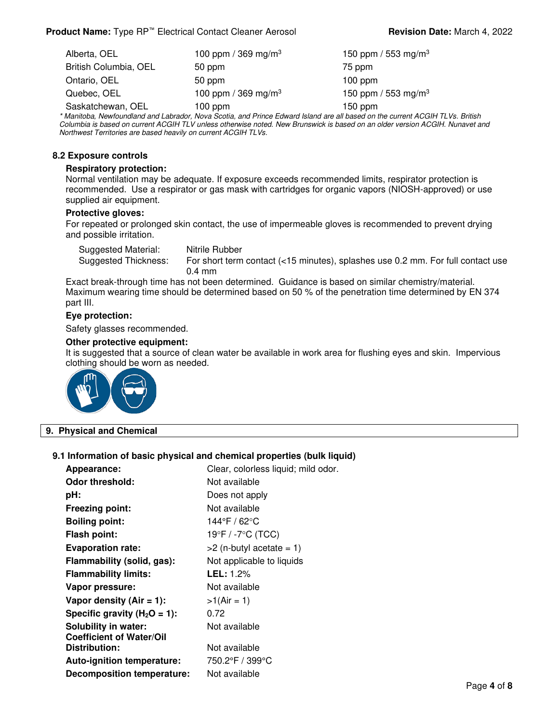| Alberta, OEL          | 100 ppm / 369 mg/m <sup>3</sup> | 150 ppm / 553 mg/m <sup>3</sup> |
|-----------------------|---------------------------------|---------------------------------|
| British Columbia, OEL | 50 ppm                          | 75 ppm                          |
| Ontario, OEL          | 50 ppm                          | $100$ ppm                       |
| Quebec, OEL           | 100 ppm / 369 mg/m <sup>3</sup> | 150 ppm / 553 mg/m <sup>3</sup> |
| Saskatchewan, OEL     | $100$ ppm                       | $150$ ppm                       |

\* Manitoba, Newfoundland and Labrador, Nova Scotia, and Prince Edward Island are all based on the current ACGIH TLVs. British Columbia is based on current ACGIH TLV unless otherwise noted. New Brunswick is based on an older version ACGIH. Nunavet and Northwest Territories are based heavily on current ACGIH TLVs.

#### **8.2 Exposure controls**

#### **Respiratory protection:**

Normal ventilation may be adequate. If exposure exceeds recommended limits, respirator protection is recommended. Use a respirator or gas mask with cartridges for organic vapors (NIOSH-approved) or use supplied air equipment.

#### **Protective gloves:**

For repeated or prolonged skin contact, the use of impermeable gloves is recommended to prevent drying and possible irritation.

Suggested Material: Nitrile Rubber Suggested Thickness: For short term contact (<15 minutes), splashes use 0.2 mm. For full contact use 0.4 mm

Exact break-through time has not been determined. Guidance is based on similar chemistry/material. Maximum wearing time should be determined based on 50 % of the penetration time determined by EN 374 part III.

#### **Eye protection:**

Safety glasses recommended.

#### **Other protective equipment:**

It is suggested that a source of clean water be available in work area for flushing eyes and skin. Impervious clothing should be worn as needed.



#### **9. Physical and Chemical**

#### **9.1 Information of basic physical and chemical properties (bulk liquid)**

| Appearance:                       | Clear, colorless liquid; mild odor. |
|-----------------------------------|-------------------------------------|
| Odor threshold:                   | Not available                       |
| pH:                               | Does not apply                      |
| <b>Freezing point:</b>            | Not available                       |
| <b>Boiling point:</b>             | 144°F / 62°C                        |
| <b>Flash point:</b>               | 19°F / -7°C (TCC)                   |
| <b>Evaporation rate:</b>          | $>2$ (n-butyl acetate = 1)          |
| Flammability (solid, gas):        | Not applicable to liquids           |
| <b>Flammability limits:</b>       | <b>LEL:</b> 1.2%                    |
| Vapor pressure:                   | Not available                       |
| Vapor density $(Air = 1)$ :       | $>1(Air = 1)$                       |
| Specific gravity $(H_2O = 1)$ :   | 0.72                                |
| <b>Solubility in water:</b>       | Not available                       |
| <b>Coefficient of Water/Oil</b>   |                                     |
| Distribution:                     | Not available                       |
| <b>Auto-ignition temperature:</b> | 750.2°F / 399°C                     |
| Decomposition temperature:        | Not available                       |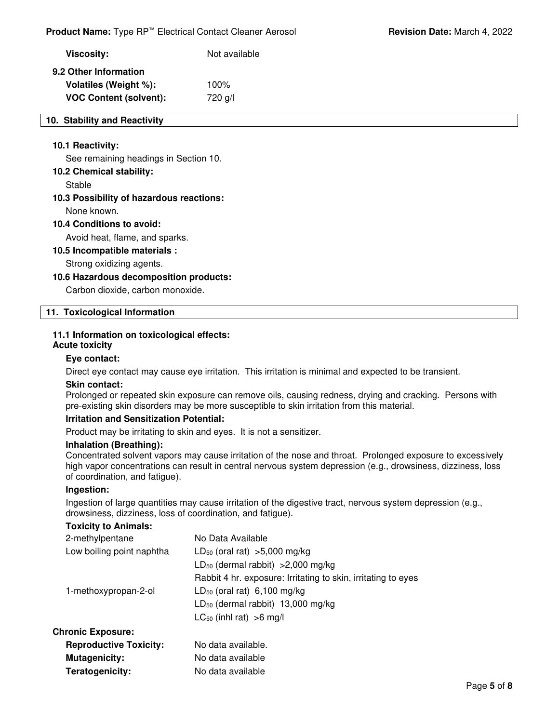# **Viscosity:** Not available **9.2 Other Information Volatiles (Weight %):** 100% **VOC Content (solvent):** 720 g/l

#### **10. Stability and Reactivity**

#### **10.1 Reactivity:**

See remaining headings in Section 10.

#### **10.2 Chemical stability:**

Stable

#### **10.3 Possibility of hazardous reactions:**

None known.

**10.4 Conditions to avoid:**

Avoid heat, flame, and sparks.

#### **10.5 Incompatible materials :**

Strong oxidizing agents.

#### **10.6 Hazardous decomposition products:**

Carbon dioxide, carbon monoxide.

#### **11. Toxicological Information**

#### **11.1 Information on toxicological effects:**

# **Acute toxicity**

#### **Eye contact:**

Direct eye contact may cause eye irritation. This irritation is minimal and expected to be transient.

#### **Skin contact:**

Prolonged or repeated skin exposure can remove oils, causing redness, drying and cracking. Persons with pre-existing skin disorders may be more susceptible to skin irritation from this material.

#### **Irritation and Sensitization Potential:**

**Teratogenicity:** No data available

Product may be irritating to skin and eyes. It is not a sensitizer.

#### **Inhalation (Breathing):**

Concentrated solvent vapors may cause irritation of the nose and throat. Prolonged exposure to excessively high vapor concentrations can result in central nervous system depression (e.g., drowsiness, dizziness, loss of coordination, and fatigue).

#### **Ingestion:**

Ingestion of large quantities may cause irritation of the digestive tract, nervous system depression (e.g., drowsiness, dizziness, loss of coordination, and fatigue).

#### **Toxicity to Animals:**

| 2-methylpentane               | No Data Available                                             |
|-------------------------------|---------------------------------------------------------------|
| Low boiling point naphtha     | $LD_{50}$ (oral rat) >5,000 mg/kg                             |
|                               | $LD_{50}$ (dermal rabbit) > 2,000 mg/kg                       |
|                               | Rabbit 4 hr. exposure: Irritating to skin, irritating to eyes |
| 1-methoxypropan-2-ol          | $LD_{50}$ (oral rat) 6,100 mg/kg                              |
|                               | $LD_{50}$ (dermal rabbit) 13,000 mg/kg                        |
|                               | $LC_{50}$ (inhl rat) >6 mg/l                                  |
| <b>Chronic Exposure:</b>      |                                                               |
| <b>Reproductive Toxicity:</b> | No data available.                                            |
| <b>Mutagenicity:</b>          | No data available                                             |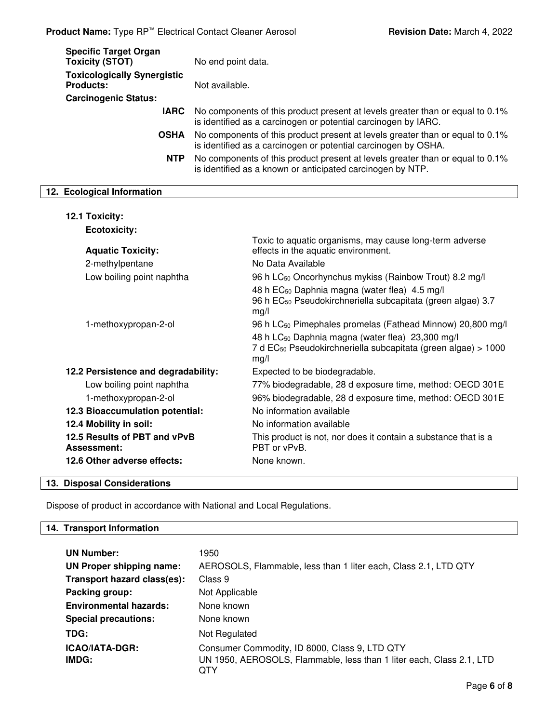| No end point data.                                                                                                                              |
|-------------------------------------------------------------------------------------------------------------------------------------------------|
| Not available.                                                                                                                                  |
|                                                                                                                                                 |
| No components of this product present at levels greater than or equal to 0.1%<br>is identified as a carcinogen or potential carcinogen by IARC. |
| No components of this product present at levels greater than or equal to 0.1%<br>is identified as a carcinogen or potential carcinogen by OSHA. |
| No components of this product present at levels greater than or equal to 0.1%<br>is identified as a known or anticipated carcinogen by NTP.     |
|                                                                                                                                                 |

# **12. Ecological Information**

| 12.1 Toxicity:                              |                                                                                                                                                   |
|---------------------------------------------|---------------------------------------------------------------------------------------------------------------------------------------------------|
| <b>Ecotoxicity:</b>                         |                                                                                                                                                   |
| <b>Aquatic Toxicity:</b>                    | Toxic to aquatic organisms, may cause long-term adverse<br>effects in the aquatic environment.                                                    |
| 2-methylpentane                             | No Data Available                                                                                                                                 |
| Low boiling point naphtha                   | 96 h LC <sub>50</sub> Oncorhynchus mykiss (Rainbow Trout) 8.2 mg/l                                                                                |
|                                             | 48 h EC <sub>50</sub> Daphnia magna (water flea) 4.5 mg/l<br>96 h EC <sub>50</sub> Pseudokirchneriella subcapitata (green algae) 3.7<br>mg/l      |
| 1-methoxypropan-2-ol                        | 96 h LC <sub>50</sub> Pimephales promelas (Fathead Minnow) 20,800 mg/l                                                                            |
|                                             | 48 h LC <sub>50</sub> Daphnia magna (water flea) 23,300 mg/l<br>7 d EC <sub>50</sub> Pseudokirchneriella subcapitata (green algae) > 1000<br>mg/l |
| 12.2 Persistence and degradability:         | Expected to be biodegradable.                                                                                                                     |
| Low boiling point naphtha                   | 77% biodegradable, 28 d exposure time, method: OECD 301E                                                                                          |
| 1-methoxypropan-2-ol                        | 96% biodegradable, 28 d exposure time, method: OECD 301E                                                                                          |
| 12.3 Bioaccumulation potential:             | No information available                                                                                                                          |
| 12.4 Mobility in soil:                      | No information available                                                                                                                          |
| 12.5 Results of PBT and vPvB<br>Assessment: | This product is not, nor does it contain a substance that is a<br>PBT or vPvB.                                                                    |
| 12.6 Other adverse effects:                 | None known.                                                                                                                                       |
|                                             |                                                                                                                                                   |

# **13. Disposal Considerations**

Dispose of product in accordance with National and Local Regulations.

# **14. Transport Information**

| <b>UN Number:</b>             | 1950                                                                                                                         |
|-------------------------------|------------------------------------------------------------------------------------------------------------------------------|
| UN Proper shipping name:      | AEROSOLS, Flammable, less than 1 liter each, Class 2.1, LTD QTY                                                              |
| Transport hazard class(es):   | Class 9                                                                                                                      |
| Packing group:                | Not Applicable                                                                                                               |
| <b>Environmental hazards:</b> | None known                                                                                                                   |
| <b>Special precautions:</b>   | None known                                                                                                                   |
| TDG:                          | Not Regulated                                                                                                                |
| ICAO/IATA-DGR:<br>IMDG:       | Consumer Commodity, ID 8000, Class 9, LTD QTY<br>UN 1950, AEROSOLS, Flammable, less than 1 liter each, Class 2.1, LTD<br>QTY |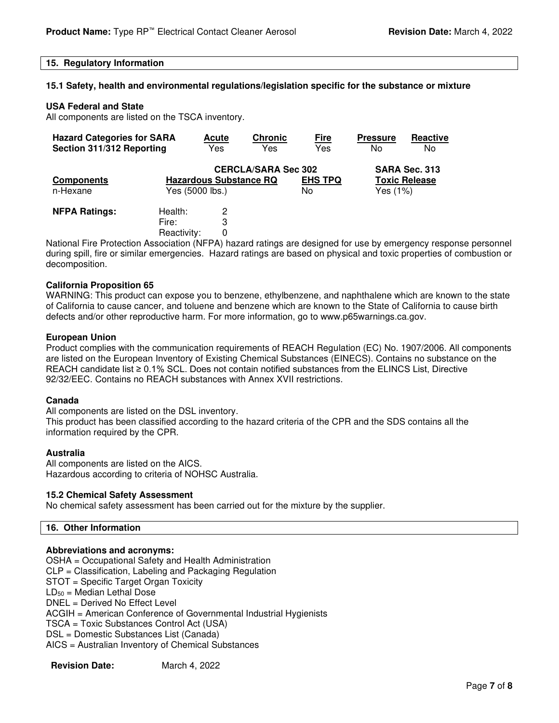#### **15. Regulatory Information**

#### **15.1 Safety, health and environmental regulations/legislation specific for the substance or mixture**

#### **USA Federal and State**

All components are listed on the TSCA inventory.

| <b>Hazard Categories for SARA</b><br>Section 311/312 Reporting |                                 | <b>Acute</b><br>Yes                                                            | <b>Chronic</b><br>Yes | <u>Fire</u><br>Yes    | <b>Pressure</b><br>No                             | Reactive<br>No |
|----------------------------------------------------------------|---------------------------------|--------------------------------------------------------------------------------|-----------------------|-----------------------|---------------------------------------------------|----------------|
| <b>Components</b><br>n-Hexane                                  |                                 | <b>CERCLA/SARA Sec 302</b><br><b>Hazardous Substance RQ</b><br>Yes (5000 lbs.) |                       | <b>EHS TPQ</b><br>No. | SARA Sec. 313<br><b>Toxic Release</b><br>Yes (1%) |                |
| <b>NFPA Ratings:</b>                                           | Health:<br>Fire:<br>Reactivity: | 2<br>3                                                                         |                       |                       |                                                   |                |

National Fire Protection Association (NFPA) hazard ratings are designed for use by emergency response personnel during spill, fire or similar emergencies. Hazard ratings are based on physical and toxic properties of combustion or decomposition.

#### **California Proposition 65**

WARNING: This product can expose you to benzene, ethylbenzene, and naphthalene which are known to the state of California to cause cancer, and toluene and benzene which are known to the State of California to cause birth defects and/or other reproductive harm. For more information, go to www.p65warnings.ca.gov.

#### **European Union**

Product complies with the communication requirements of REACH Regulation (EC) No. 1907/2006. All components are listed on the European Inventory of Existing Chemical Substances (EINECS). Contains no substance on the REACH candidate list ≥ 0.1% SCL. Does not contain notified substances from the ELINCS List, Directive 92/32/EEC. Contains no REACH substances with Annex XVII restrictions.

#### **Canada**

All components are listed on the DSL inventory. This product has been classified according to the hazard criteria of the CPR and the SDS contains all the information required by the CPR.

#### **Australia**

All components are listed on the AICS. Hazardous according to criteria of NOHSC Australia.

#### **15.2 Chemical Safety Assessment**

No chemical safety assessment has been carried out for the mixture by the supplier.

#### **16. Other Information**

#### **Abbreviations and acronyms:**

OSHA = Occupational Safety and Health Administration CLP = Classification, Labeling and Packaging Regulation STOT = Specific Target Organ Toxicity  $LD_{50}$  = Median Lethal Dose DNEL = Derived No Effect Level ACGIH = American Conference of Governmental Industrial Hygienists TSCA = Toxic Substances Control Act (USA) DSL = Domestic Substances List (Canada) AICS = Australian Inventory of Chemical Substances

| <b>Revision Date:</b> | March 4, 2022 |
|-----------------------|---------------|
|-----------------------|---------------|